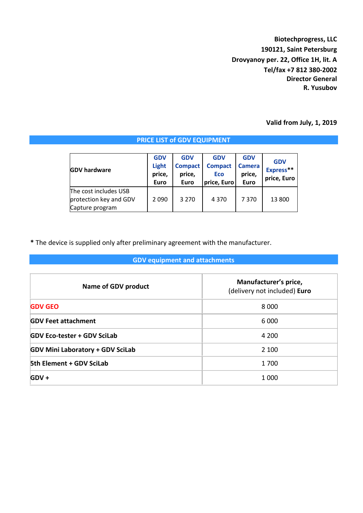**Biotechprogress, LLC 190121, Saint Petersburg Drovyanoy per. 22, Office 1H, lit. A Tel/fax +7 812 380-2002 Director General R. Yusubov**

### **Valid from July, 1, 2019**

#### **GDV hardware GDV Light price, Euro GDV Compact price, Euro GDV Compact Eco price, Euro GDV Camera price, Euro GDV Express\*\* price, Euro** The cost includes USB protection key and GDV Capture program 2 090 3 270 4 370 7 370 13 800

**\*** The device is supplied only after preliminary agreement with the manufacturer.

## **GDV equipment and attachments**

| Name of GDV product                     | Manufacturer's price,<br>(delivery not included) Euro |  |  |  |  |
|-----------------------------------------|-------------------------------------------------------|--|--|--|--|
| <b>GDV GEO</b>                          | 8 0 0 0                                               |  |  |  |  |
| <b>GDV Feet attachment</b>              | 6 0 0 0                                               |  |  |  |  |
| <b>GDV Eco-tester + GDV SciLab</b>      | 4 200                                                 |  |  |  |  |
| <b>GDV Mini Laboratory + GDV SciLab</b> | 2 100                                                 |  |  |  |  |
| 5th Element + GDV SciLab                | 1700                                                  |  |  |  |  |
| $GDV +$                                 | 1 0 0 0                                               |  |  |  |  |

# **PRICE LIST of GDV EQUIPMENT**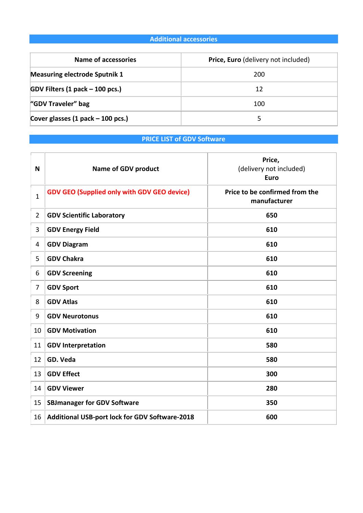# **Additional accessories**

| Name of accessories                  | <b>Price, Euro</b> (delivery not included) |  |  |  |  |
|--------------------------------------|--------------------------------------------|--|--|--|--|
| <b>Measuring electrode Sputnik 1</b> | 200                                        |  |  |  |  |
| GDV Filters (1 pack – 100 pcs.)      | 12                                         |  |  |  |  |
| "GDV Traveler" bag                   | 100                                        |  |  |  |  |
| Cover glasses (1 pack – 100 pcs.)    |                                            |  |  |  |  |

# **PRICE LIST of GDV Software**

| N              | <b>Name of GDV product</b>                         | Price,<br>(delivery not included)<br><b>Euro</b> |  |  |  |  |
|----------------|----------------------------------------------------|--------------------------------------------------|--|--|--|--|
| $\mathbf{1}$   | <b>GDV GEO (Supplied only with GDV GEO device)</b> | Price to be confirmed from the<br>manufacturer   |  |  |  |  |
| $\overline{2}$ | <b>GDV Scientific Laboratory</b>                   | 650                                              |  |  |  |  |
| 3              | <b>GDV Energy Field</b><br>610                     |                                                  |  |  |  |  |
| 4              | <b>GDV Diagram</b><br>610                          |                                                  |  |  |  |  |
| 5              | <b>GDV Chakra</b>                                  | 610                                              |  |  |  |  |
| 6              | <b>GDV Screening</b>                               | 610                                              |  |  |  |  |
| 7              | <b>GDV Sport</b>                                   | 610                                              |  |  |  |  |
| 8              | <b>GDV Atlas</b>                                   | 610                                              |  |  |  |  |
| 9              | <b>GDV Neurotonus</b>                              | 610                                              |  |  |  |  |
| 10             | <b>GDV Motivation</b>                              | 610                                              |  |  |  |  |
| 11             | <b>GDV Interpretation</b>                          | 580                                              |  |  |  |  |
| 12             | GD. Veda                                           | 580                                              |  |  |  |  |
| 13             | <b>GDV Effect</b><br>300                           |                                                  |  |  |  |  |
| 14             | <b>GDV Viewer</b>                                  | 280                                              |  |  |  |  |
| 15             | <b>SBJmanager for GDV Software</b>                 | 350                                              |  |  |  |  |
| 16             | Additional USB-port lock for GDV Software-2018     | 600                                              |  |  |  |  |